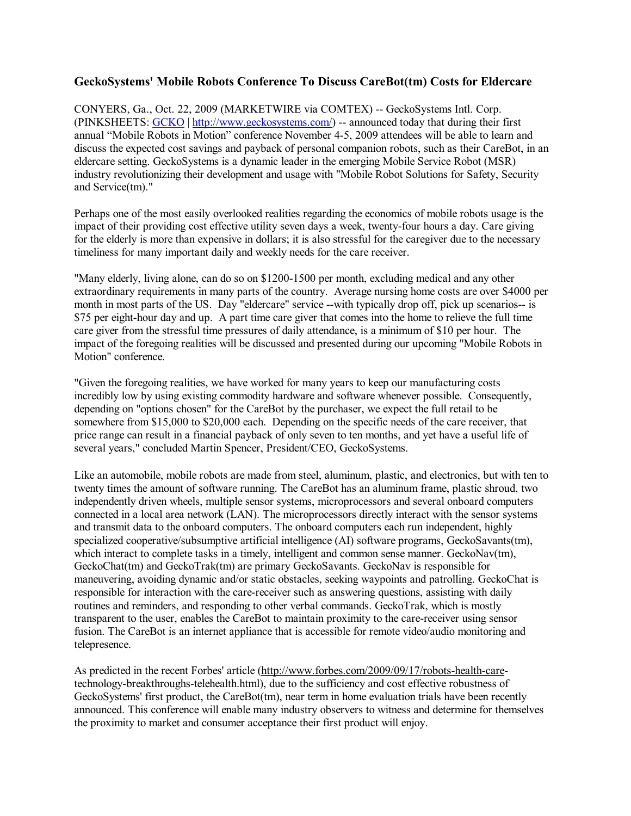# **GeckoSystems' Mobile Robots Conference To Discuss CareBot(tm) Costs for Eldercare**

CONYERS, Ga., Oct. 22, 2009 (MARKETWIRE via COMTEX) -- GeckoSystems Intl. Corp. (PINKSHEETS: GCKO | <http://www.geckosystems.com/>) -- announced today that during their first annual "Mobile Robots in Motion" conference November 4-5, 2009 attendees will be able to learn and discuss the expected cost savings and payback of personal companion robots, such as their CareBot, in an eldercare setting. GeckoSystems is a dynamic leader in the emerging Mobile Service Robot (MSR) industry revolutionizing their development and usage with "Mobile Robot Solutions for Safety, Security and Service(tm)."

Perhaps one of the most easily overlooked realities regarding the economics of mobile robots usage is the impact of their providing cost effective utility seven days a week, twenty-four hours a day. Care giving for the elderly is more than expensive in dollars; it is also stressful for the caregiver due to the necessary timeliness for many important daily and weekly needs for the care receiver.

"Many elderly, living alone, can do so on \$1200-1500 per month, excluding medical and any other extraordinary requirements in many parts of the country. Average nursing home costs are over \$4000 per month in most parts of the US. Day "eldercare" service --with typically drop off, pick up scenarios-- is \$75 per eight-hour day and up. A part time care giver that comes into the home to relieve the full time care giver from the stressful time pressures of daily attendance, is a minimum of \$10 per hour. The impact of the foregoing realities will be discussed and presented during our upcoming "Mobile Robots in Motion" conference.

"Given the foregoing realities, we have worked for many years to keep our manufacturing costs incredibly low by using existing commodity hardware and software whenever possible. Consequently, depending on "options chosen" for the CareBot by the purchaser, we expect the full retail to be somewhere from \$15,000 to \$20,000 each. Depending on the specific needs of the care receiver, that price range can result in a financial payback of only seven to ten months, and yet have a useful life of several years," concluded Martin Spencer, President/CEO, GeckoSystems.

Like an automobile, mobile robots are made from steel, aluminum, plastic, and electronics, but with ten to twenty times the amount of software running. The CareBot has an aluminum frame, plastic shroud, two independently driven wheels, multiple sensor systems, microprocessors and several onboard computers connected in a local area network (LAN). The microprocessors directly interact with the sensor systems and transmit data to the onboard computers. The onboard computers each run independent, highly specialized cooperative/subsumptive artificial intelligence (AI) software programs, GeckoSavants(tm), which interact to complete tasks in a timely, intelligent and common sense manner. GeckoNav(tm), GeckoChat(tm) and GeckoTrak(tm) are primary GeckoSavants. GeckoNav is responsible for maneuvering, avoiding dynamic and/or static obstacles, seeking waypoints and patrolling. GeckoChat is responsible for interaction with the care-receiver such as answering questions, assisting with daily routines and reminders, and responding to other verbal commands. GeckoTrak, which is mostly transparent to the user, enables the CareBot to maintain proximity to the care-receiver using sensor fusion. The CareBot is an internet appliance that is accessible for remote video/audio monitoring and telepresence.

As predicted in the recent Forbes' article (<http://www.forbes.com/2009/09/17/robots-health-care>technology-breakthroughs-telehealth.html), due to the sufficiency and cost effective robustness of GeckoSystems' first product, the CareBot(tm), near term in home evaluation trials have been recently announced. This conference will enable many industry observers to witness and determine for themselves the proximity to market and consumer acceptance their first product will enjoy.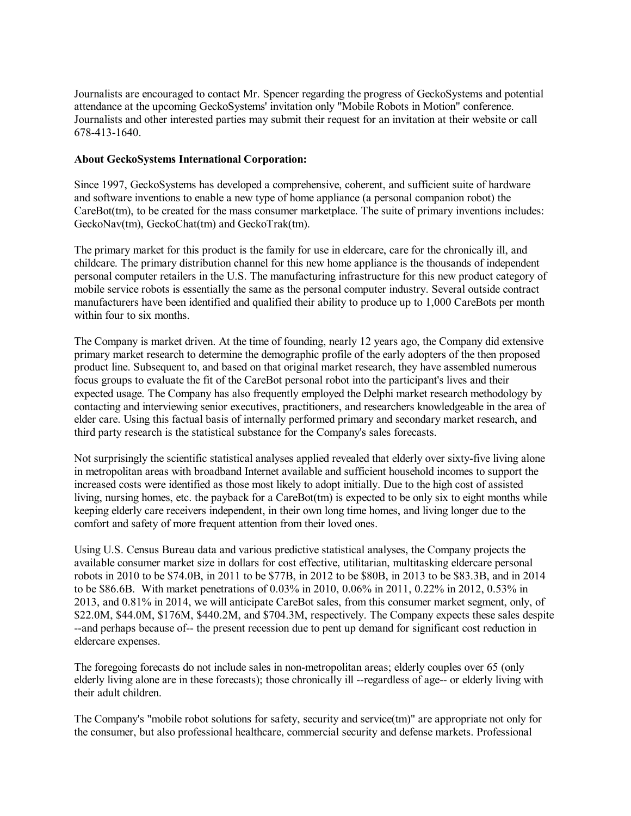Journalists are encouraged to contact Mr. Spencer regarding the progress of GeckoSystems and potential attendance at the upcoming GeckoSystems' invitation only "Mobile Robots in Motion" conference. Journalists and other interested parties may submit their request for an invitation at their website or call 678-413-1640.

### **About GeckoSystems International Corporation:**

Since 1997, GeckoSystems has developed a comprehensive, coherent, and sufficient suite of hardware and software inventions to enable a new type of home appliance (a personal companion robot) the CareBot(tm), to be created for the mass consumer marketplace. The suite of primary inventions includes: GeckoNav(tm), GeckoChat(tm) and GeckoTrak(tm).

The primary market for this product is the family for use in eldercare, care for the chronically ill, and childcare. The primary distribution channel for this new home appliance is the thousands of independent personal computer retailers in the U.S. The manufacturing infrastructure for this new product category of mobile service robots is essentially the same as the personal computer industry. Several outside contract manufacturers have been identified and qualified their ability to produce up to 1,000 CareBots per month within four to six months.

The Company is market driven. At the time of founding, nearly 12 years ago, the Company did extensive primary market research to determine the demographic profile of the early adopters of the then proposed product line. Subsequent to, and based on that original market research, they have assembled numerous focus groups to evaluate the fit of the CareBot personal robot into the participant's lives and their expected usage. The Company has also frequently employed the Delphi market research methodology by contacting and interviewing senior executives, practitioners, and researchers knowledgeable in the area of elder care. Using this factual basis of internally performed primary and secondary market research, and third party research is the statistical substance for the Company's sales forecasts.

Not surprisingly the scientific statistical analyses applied revealed that elderly over sixty-five living alone in metropolitan areas with broadband Internet available and sufficient household incomes to support the increased costs were identified as those most likely to adopt initially. Due to the high cost of assisted living, nursing homes, etc. the payback for a CareBot(tm) is expected to be only six to eight months while keeping elderly care receivers independent, in their own long time homes, and living longer due to the comfort and safety of more frequent attention from their loved ones.

Using U.S. Census Bureau data and various predictive statistical analyses, the Company projects the available consumer market size in dollars for cost effective, utilitarian, multitasking eldercare personal robots in 2010 to be \$74.0B, in 2011 to be \$77B, in 2012 to be \$80B, in 2013 to be \$83.3B, and in 2014 to be \$86.6B. With market penetrations of 0.03% in 2010, 0.06% in 2011, 0.22% in 2012, 0.53% in 2013, and 0.81% in 2014, we will anticipate CareBot sales, from this consumer market segment, only, of \$22.0M, \$44.0M, \$176M, \$440.2M, and \$704.3M, respectively. The Company expects these sales despite --and perhaps because of-- the present recession due to pent up demand for significant cost reduction in eldercare expenses.

The foregoing forecasts do not include sales in non-metropolitan areas; elderly couples over 65 (only elderly living alone are in these forecasts); those chronically ill --regardless of age-- or elderly living with their adult children.

The Company's "mobile robot solutions for safety, security and service(tm)" are appropriate not only for the consumer, but also professional healthcare, commercial security and defense markets. Professional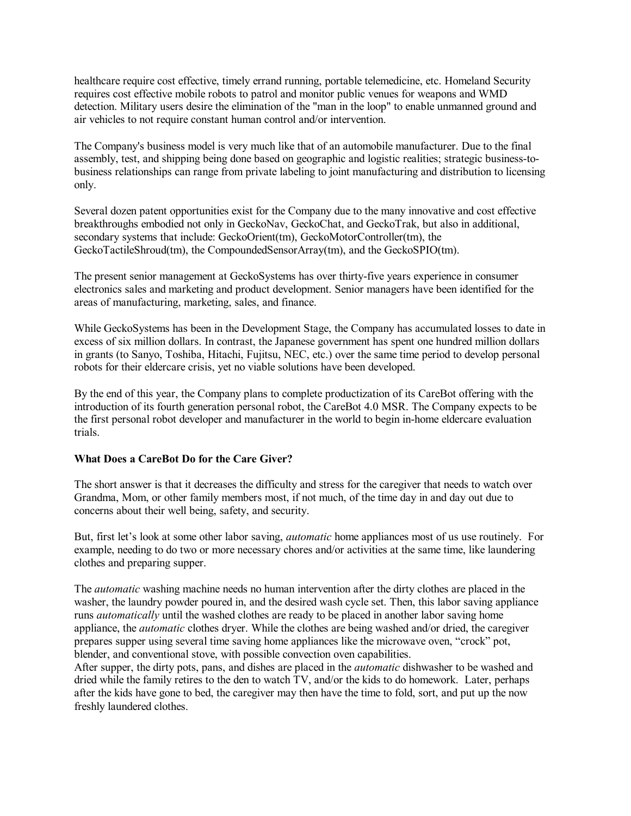healthcare require cost effective, timely errand running, portable telemedicine, etc. Homeland Security requires cost effective mobile robots to patrol and monitor public venues for weapons and WMD detection. Military users desire the elimination of the "man in the loop" to enable unmanned ground and air vehicles to not require constant human control and/or intervention.

The Company's business model is very much like that of an automobile manufacturer. Due to the final assembly, test, and shipping being done based on geographic and logistic realities; strategic business-tobusiness relationships can range from private labeling to joint manufacturing and distribution to licensing only.

Several dozen patent opportunities exist for the Company due to the many innovative and cost effective breakthroughs embodied not only in GeckoNav, GeckoChat, and GeckoTrak, but also in additional, secondary systems that include: GeckoOrient(tm), GeckoMotorController(tm), the GeckoTactileShroud(tm), the CompoundedSensorArray(tm), and the GeckoSPIO(tm).

The present senior management at GeckoSystems has over thirty-five years experience in consumer electronics sales and marketing and product development. Senior managers have been identified for the areas of manufacturing, marketing, sales, and finance.

While GeckoSystems has been in the Development Stage, the Company has accumulated losses to date in excess of six million dollars. In contrast, the Japanese government has spent one hundred million dollars in grants (to Sanyo, Toshiba, Hitachi, Fujitsu, NEC, etc.) over the same time period to develop personal robots for their eldercare crisis, yet no viable solutions have been developed.

By the end of this year, the Company plans to complete productization of its CareBot offering with the introduction of its fourth generation personal robot, the CareBot 4.0 MSR. The Company expects to be the first personal robot developer and manufacturer in the world to begin in-home eldercare evaluation trials.

# **What Does a CareBot Do for the Care Giver?**

The short answer is that it decreases the difficulty and stress for the caregiver that needs to watch over Grandma, Mom, or other family members most, if not much, of the time day in and day out due to concerns about their well being, safety, and security.

But, first let's look at some other labor saving, *automatic* home appliances most of us use routinely. For example, needing to do two or more necessary chores and/or activities at the same time, like laundering clothes and preparing supper.

The *automatic* washing machine needs no human intervention after the dirty clothes are placed in the washer, the laundry powder poured in, and the desired wash cycle set. Then, this labor saving appliance runs *automatically* until the washed clothes are ready to be placed in another labor saving home appliance, the *automatic* clothes dryer. While the clothes are being washed and/or dried, the caregiver prepares supper using several time saving home appliances like the microwave oven, "crock" pot, blender, and conventional stove, with possible convection oven capabilities.

After supper, the dirty pots, pans, and dishes are placed in the *automatic* dishwasher to be washed and dried while the family retires to the den to watch TV, and/or the kids to do homework. Later, perhaps after the kids have gone to bed, the caregiver may then have the time to fold, sort, and put up the now freshly laundered clothes.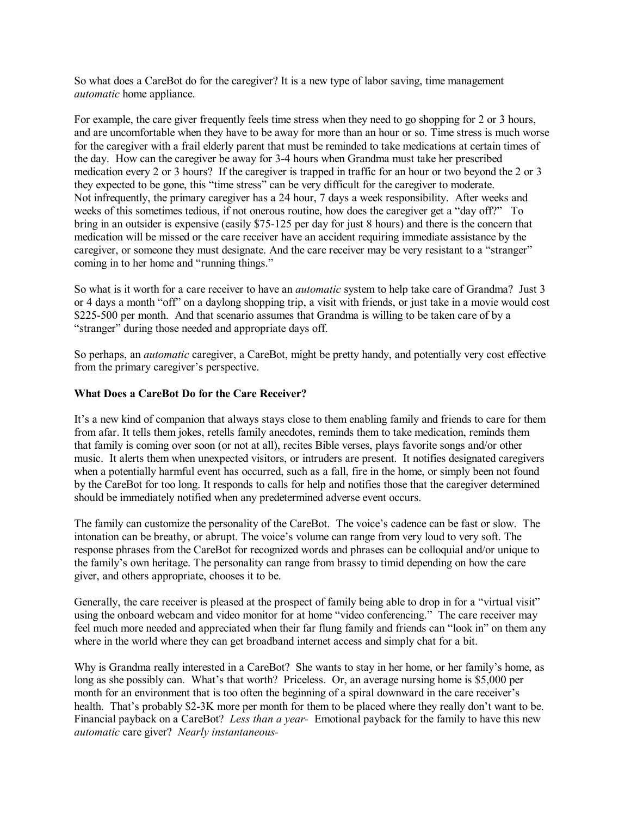So what does a CareBot do for the caregiver? It is a new type of labor saving, time management *automatic* home appliance.

For example, the care giver frequently feels time stress when they need to go shopping for 2 or 3 hours, and are uncomfortable when they have to be away for more than an hour or so. Time stress is much worse for the caregiver with a frail elderly parent that must be reminded to take medications at certain times of the day. How can the caregiver be away for 3-4 hours when Grandma must take her prescribed medication every 2 or 3 hours? If the caregiver is trapped in traffic for an hour or two beyond the 2 or 3 they expected to be gone, this "time stress" can be very difficult for the caregiver to moderate. Not infrequently, the primary caregiver has a 24 hour, 7 days a week responsibility. After weeks and weeks of this sometimes tedious, if not onerous routine, how does the caregiver get a "day off?" To bring in an outsider is expensive (easily \$75-125 per day for just 8 hours) and there is the concern that medication will be missed or the care receiver have an accident requiring immediate assistance by the caregiver, or someone they must designate. And the care receiver may be very resistant to a "stranger" coming in to her home and "running things."

So what is it worth for a care receiver to have an *automatic* system to help take care of Grandma? Just 3 or 4 days a month "off" on a daylong shopping trip, a visit with friends, or just take in a movie would cost \$225-500 per month. And that scenario assumes that Grandma is willing to be taken care of by a "stranger" during those needed and appropriate days off.

So perhaps, an *automatic* caregiver, a CareBot, might be pretty handy, and potentially very cost effective from the primary caregiver's perspective.

# **What Does a CareBot Do for the Care Receiver?**

It's a new kind of companion that always stays close to them enabling family and friends to care for them from afar. It tells them jokes, retells family anecdotes, reminds them to take medication, reminds them that family is coming over soon (or not at all), recites Bible verses, plays favorite songs and/or other music. It alerts them when unexpected visitors, or intruders are present. It notifies designated caregivers when a potentially harmful event has occurred, such as a fall, fire in the home, or simply been not found by the CareBot for too long. It responds to calls for help and notifies those that the caregiver determined should be immediately notified when any predetermined adverse event occurs.

The family can customize the personality of the CareBot. The voice's cadence can be fast or slow. The intonation can be breathy, or abrupt. The voice's volume can range from very loud to very soft. The response phrases from the CareBot for recognized words and phrases can be colloquial and/or unique to the family's own heritage. The personality can range from brassy to timid depending on how the care giver, and others appropriate, chooses it to be.

Generally, the care receiver is pleased at the prospect of family being able to drop in for a "virtual visit" using the onboard webcam and video monitor for at home "video conferencing." The care receiver may feel much more needed and appreciated when their far flung family and friends can "look in" on them any where in the world where they can get broadband internet access and simply chat for a bit.

Why is Grandma really interested in a CareBot? She wants to stay in her home, or her family's home, as long as she possibly can. What's that worth? Priceless. Or, an average nursing home is \$5,000 per month for an environment that is too often the beginning of a spiral downward in the care receiver's health. That's probably \$2-3K more per month for them to be placed where they really don't want to be. Financial payback on a CareBot? *Less than a year-* Emotional payback for the family to have this new *automatic* care giver? *Nearly instantaneous-*